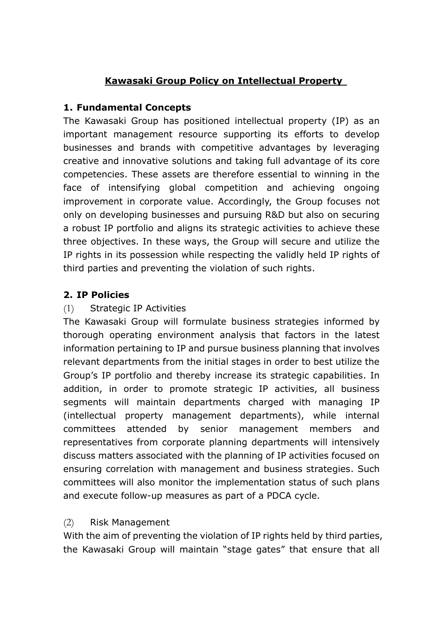# **Kawasaki Group Policy on Intellectual Property**

### **1. Fundamental Concepts**

The Kawasaki Group has positioned intellectual property (IP) as an important management resource supporting its efforts to develop businesses and brands with competitive advantages by leveraging creative and innovative solutions and taking full advantage of its core competencies. These assets are therefore essential to winning in the face of intensifying global competition and achieving ongoing improvement in corporate value. Accordingly, the Group focuses not only on developing businesses and pursuing R&D but also on securing a robust IP portfolio and aligns its strategic activities to achieve these three objectives. In these ways, the Group will secure and utilize the IP rights in its possession while respecting the validly held IP rights of third parties and preventing the violation of such rights.

# **2. IP Policies**

### (1) Strategic IP Activities

The Kawasaki Group will formulate business strategies informed by thorough operating environment analysis that factors in the latest information pertaining to IP and pursue business planning that involves relevant departments from the initial stages in order to best utilize the Group's IP portfolio and thereby increase its strategic capabilities. In addition, in order to promote strategic IP activities, all business segments will maintain departments charged with managing IP (intellectual property management departments), while internal committees attended by senior management members and representatives from corporate planning departments will intensively discuss matters associated with the planning of IP activities focused on ensuring correlation with management and business strategies. Such committees will also monitor the implementation status of such plans and execute follow-up measures as part of a PDCA cycle.

#### (2) Risk Management

With the aim of preventing the violation of IP rights held by third parties, the Kawasaki Group will maintain "stage gates" that ensure that all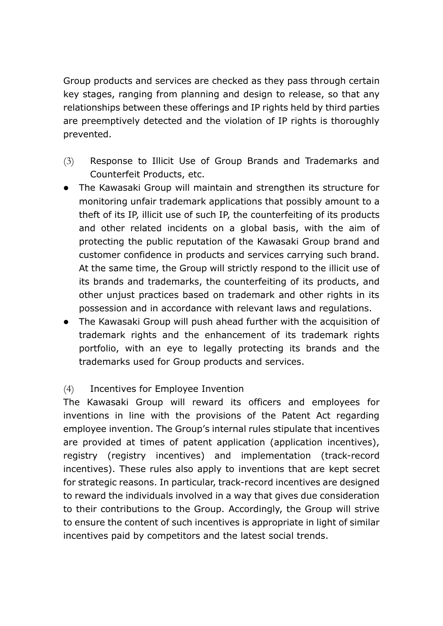Group products and services are checked as they pass through certain key stages, ranging from planning and design to release, so that any relationships between these offerings and IP rights held by third parties are preemptively detected and the violation of IP rights is thoroughly prevented.

- (3) Response to Illicit Use of Group Brands and Trademarks and Counterfeit Products, etc.
- The Kawasaki Group will maintain and strengthen its structure for monitoring unfair trademark applications that possibly amount to a theft of its IP, illicit use of such IP, the counterfeiting of its products and other related incidents on a global basis, with the aim of protecting the public reputation of the Kawasaki Group brand and customer confidence in products and services carrying such brand. At the same time, the Group will strictly respond to the illicit use of its brands and trademarks, the counterfeiting of its products, and other unjust practices based on trademark and other rights in its possession and in accordance with relevant laws and regulations.
- The Kawasaki Group will push ahead further with the acquisition of trademark rights and the enhancement of its trademark rights portfolio, with an eye to legally protecting its brands and the trademarks used for Group products and services.

#### (4) Incentives for Employee Invention

The Kawasaki Group will reward its officers and employees for inventions in line with the provisions of the Patent Act regarding employee invention. The Group's internal rules stipulate that incentives are provided at times of patent application (application incentives), registry (registry incentives) and implementation (track-record incentives). These rules also apply to inventions that are kept secret for strategic reasons. In particular, track-record incentives are designed to reward the individuals involved in a way that gives due consideration to their contributions to the Group. Accordingly, the Group will strive to ensure the content of such incentives is appropriate in light of similar incentives paid by competitors and the latest social trends.